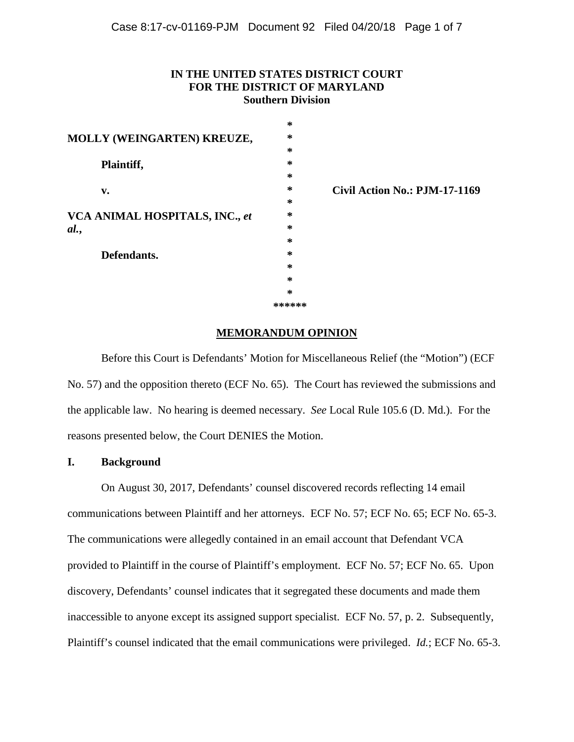## **IN THE UNITED STATES DISTRICT COURT FOR THE DISTRICT OF MARYLAND Southern Division**

|                                | ∗      |                               |
|--------------------------------|--------|-------------------------------|
| MOLLY (WEINGARTEN) KREUZE,     | ∗      |                               |
|                                | ∗      |                               |
| Plaintiff,                     | ∗      |                               |
|                                | ∗      |                               |
| v.                             | ∗      | Civil Action No.: PJM-17-1169 |
|                                | ∗      |                               |
| VCA ANIMAL HOSPITALS, INC., et | ∗      |                               |
| al.                            | ∗      |                               |
|                                | ∗      |                               |
| Defendants.                    | ∗      |                               |
|                                | ∗      |                               |
|                                | ∗      |                               |
|                                | ∗      |                               |
|                                | ****** |                               |

#### **MEMORANDUM OPINION**

Before this Court is Defendants' Motion for Miscellaneous Relief (the "Motion") (ECF No. 57) and the opposition thereto (ECF No. 65). The Court has reviewed the submissions and the applicable law. No hearing is deemed necessary. *See* Local Rule 105.6 (D. Md.). For the reasons presented below, the Court DENIES the Motion.

### **I. Background**

On August 30, 2017, Defendants' counsel discovered records reflecting 14 email communications between Plaintiff and her attorneys. ECF No. 57; ECF No. 65; ECF No. 65-3. The communications were allegedly contained in an email account that Defendant VCA provided to Plaintiff in the course of Plaintiff's employment. ECF No. 57; ECF No. 65. Upon discovery, Defendants' counsel indicates that it segregated these documents and made them inaccessible to anyone except its assigned support specialist. ECF No. 57, p. 2. Subsequently, Plaintiff's counsel indicated that the email communications were privileged. *Id.*; ECF No. 65-3.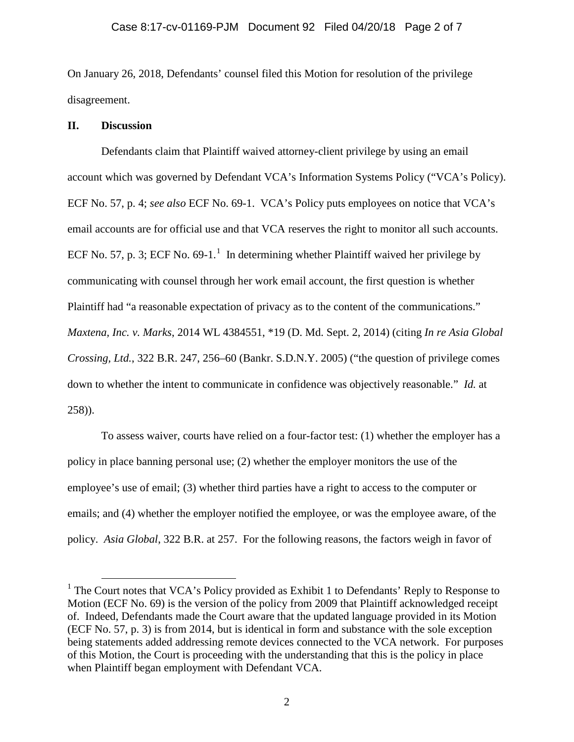On January 26, 2018, Defendants' counsel filed this Motion for resolution of the privilege disagreement.

## **II. Discussion**

Defendants claim that Plaintiff waived attorney-client privilege by using an email account which was governed by Defendant VCA's Information Systems Policy ("VCA's Policy). ECF No. 57, p. 4; *see also* ECF No. 69-1. VCA's Policy puts employees on notice that VCA's email accounts are for official use and that VCA reserves the right to monitor all such accounts. ECF No. 57, p. 3; ECF No. 69-[1](#page-1-0).<sup>1</sup> In determining whether Plaintiff waived her privilege by communicating with counsel through her work email account, the first question is whether Plaintiff had "a reasonable expectation of privacy as to the content of the communications." *Maxtena, Inc. v. Marks*, 2014 WL 4384551, \*19 (D. Md. Sept. 2, 2014) (citing *In re Asia Global Crossing, Ltd.*, 322 B.R. 247, 256–60 (Bankr. S.D.N.Y. 2005) ("the question of privilege comes down to whether the intent to communicate in confidence was objectively reasonable." *Id.* at 258)).

To assess waiver, courts have relied on a four-factor test: (1) whether the employer has a policy in place banning personal use; (2) whether the employer monitors the use of the employee's use of email; (3) whether third parties have a right to access to the computer or emails; and (4) whether the employer notified the employee, or was the employee aware, of the policy. *Asia Global*[, 322 B.R. at 257.](https://1.next.westlaw.com/Link/Document/FullText?findType=Y&serNum=2006365947&pubNum=0000164&originatingDoc=I871a14813ebc11dd8dba9deb08599717&refType=RP&fi=co_pp_sp_164_257&originationContext=document&transitionType=DocumentItem&contextData=(sc.Search)#co_pp_sp_164_257) For the following reasons, the factors weigh in favor of

<span id="page-1-0"></span><sup>&</sup>lt;sup>1</sup> The Court notes that VCA's Policy provided as Exhibit 1 to Defendants' Reply to Response to Motion (ECF No. 69) is the version of the policy from 2009 that Plaintiff acknowledged receipt of. Indeed, Defendants made the Court aware that the updated language provided in its Motion (ECF No. 57, p. 3) is from 2014, but is identical in form and substance with the sole exception being statements added addressing remote devices connected to the VCA network. For purposes of this Motion, the Court is proceeding with the understanding that this is the policy in place when Plaintiff began employment with Defendant VCA.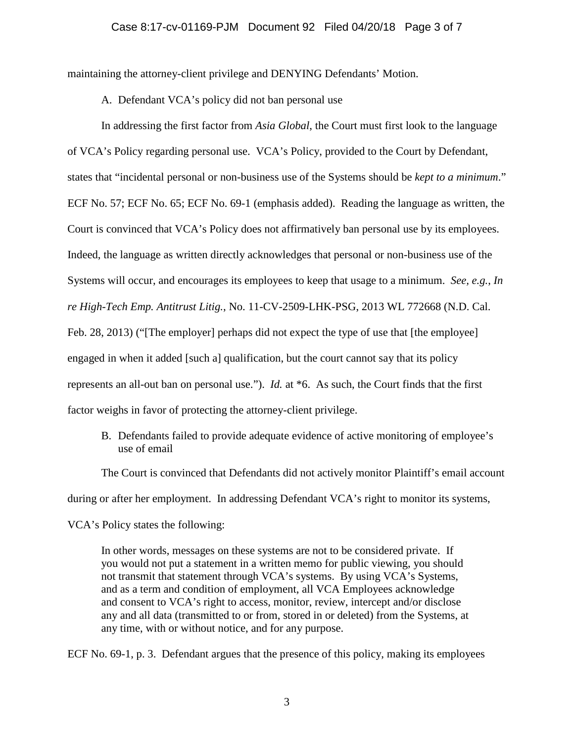#### Case 8:17-cv-01169-PJM Document 92 Filed 04/20/18 Page 3 of 7

maintaining the attorney-client privilege and DENYING Defendants' Motion.

A. Defendant VCA's policy did not ban personal use

In addressing the first factor from *Asia Global*, the Court must first look to the language of VCA's Policy regarding personal use. VCA's Policy, provided to the Court by Defendant, states that "incidental personal or non-business use of the Systems should be *kept to a minimum*." ECF No. 57; ECF No. 65; ECF No. 69-1 (emphasis added). Reading the language as written, the Court is convinced that VCA's Policy does not affirmatively ban personal use by its employees. Indeed, the language as written directly acknowledges that personal or non-business use of the Systems will occur, and encourages its employees to keep that usage to a minimum. *See, e.g.*, *In re High-Tech Emp. Antitrust Litig.*, No. 11-CV-2509-LHK-PSG, 2013 WL 772668 (N.D. Cal. Feb. 28, 2013) ("The employer] perhaps did not expect the type of use that [the employee] engaged in when it added [such a] qualification, but the court cannot say that its policy represents an all-out ban on personal use."). *Id.* at \*6. As such, the Court finds that the first factor weighs in favor of protecting the attorney-client privilege.

B. Defendants failed to provide adequate evidence of active monitoring of employee's use of email

The Court is convinced that Defendants did not actively monitor Plaintiff's email account during or after her employment. In addressing Defendant VCA's right to monitor its systems,

VCA's Policy states the following:

In other words, messages on these systems are not to be considered private. If you would not put a statement in a written memo for public viewing, you should not transmit that statement through VCA's systems. By using VCA's Systems, and as a term and condition of employment, all VCA Employees acknowledge and consent to VCA's right to access, monitor, review, intercept and/or disclose any and all data (transmitted to or from, stored in or deleted) from the Systems, at any time, with or without notice, and for any purpose.

ECF No. 69-1, p. 3. Defendant argues that the presence of this policy, making its employees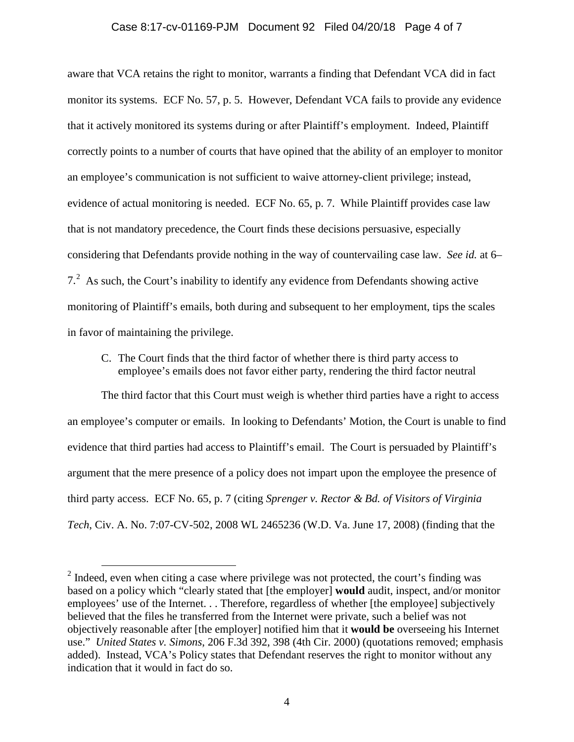## Case 8:17-cv-01169-PJM Document 92 Filed 04/20/18 Page 4 of 7

aware that VCA retains the right to monitor, warrants a finding that Defendant VCA did in fact monitor its systems. ECF No. 57, p. 5. However, Defendant VCA fails to provide any evidence that it actively monitored its systems during or after Plaintiff's employment. Indeed, Plaintiff correctly points to a number of courts that have opined that the ability of an employer to monitor an employee's communication is not sufficient to waive attorney-client privilege; instead, evidence of actual monitoring is needed. ECF No. 65, p. 7. While Plaintiff provides case law that is not mandatory precedence, the Court finds these decisions persuasive, especially considering that Defendants provide nothing in the way of countervailing case law. *See id.* at 6– 7.<sup>[2](#page-3-0)</sup> As such, the Court's inability to identify any evidence from Defendants showing active monitoring of Plaintiff's emails, both during and subsequent to her employment, tips the scales in favor of maintaining the privilege.

C. The Court finds that the third factor of whether there is third party access to employee's emails does not favor either party, rendering the third factor neutral

The third factor that this Court must weigh is whether third parties have a right to access an employee's computer or emails. In looking to Defendants' Motion, the Court is unable to find evidence that third parties had access to Plaintiff's email. The Court is persuaded by Plaintiff's argument that the mere presence of a policy does not impart upon the employee the presence of third party access. ECF No. 65, p. 7 (citing *Sprenger v. Rector & Bd. of Visitors of Virginia Tech*, Civ. A. No. 7:07-CV-502, 2008 WL 2465236 (W.D. Va. June 17, 2008) (finding that the

<span id="page-3-0"></span> $2$  Indeed, even when citing a case where privilege was not protected, the court's finding was based on a policy which "clearly stated that [the employer] **would** audit, inspect, and/or monitor employees' use of the Internet. . . Therefore, regardless of whether [the employee] subjectively believed that the files he transferred from the Internet were private, such a belief was not objectively reasonable after [the employer] notified him that it **would be** overseeing his Internet use." *United States v. Simons*, 206 F.3d 392, 398 (4th Cir. 2000) (quotations removed; emphasis added). Instead, VCA's Policy states that Defendant reserves the right to monitor without any indication that it would in fact do so.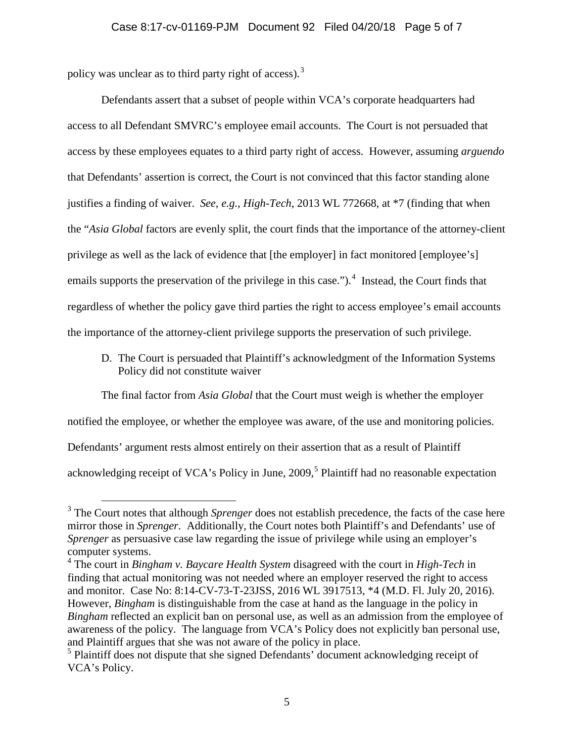policy was unclear as to third party right of access).<sup>[3](#page-4-0)</sup>

Defendants assert that a subset of people within VCA's corporate headquarters had access to all Defendant SMVRC's employee email accounts. The Court is not persuaded that access by these employees equates to a third party right of access. However, assuming *arguendo* that Defendants' assertion is correct, the Court is not convinced that this factor standing alone justifies a finding of waiver. *See, e.g.*, *High-Tech*, 2013 WL 772668, at \*7 (finding that when the "*Asia Global* factors are evenly split, the court finds that the importance of the attorney-client privilege as well as the lack of evidence that [the employer] in fact monitored [employee's] emails supports the preservation of the privilege in this case.").<sup>[4](#page-4-1)</sup> Instead, the Court finds that regardless of whether the policy gave third parties the right to access employee's email accounts the importance of the attorney-client privilege supports the preservation of such privilege.

D. The Court is persuaded that Plaintiff's acknowledgment of the Information Systems Policy did not constitute waiver

The final factor from *Asia Global* that the Court must weigh is whether the employer

notified the employee, or whether the employee was aware, of the use and monitoring policies.

Defendants' argument rests almost entirely on their assertion that as a result of Plaintiff

acknowledging receipt of VCA's Policy in June,  $2009$ ,  $5$  Plaintiff had no reasonable expectation

<span id="page-4-0"></span> <sup>3</sup> The Court notes that although *Sprenger* does not establish precedence, the facts of the case here mirror those in *Sprenger*. Additionally, the Court notes both Plaintiff's and Defendants' use of *Sprenger* as persuasive case law regarding the issue of privilege while using an employer's computer systems. 4 The court in *Bingham v. Baycare Health System* disagreed with the court in *High-Tech* in

<span id="page-4-1"></span>finding that actual monitoring was not needed where an employer reserved the right to access and monitor. Case No: 8:14-CV-73-T-23JSS, 2016 WL 3917513, \*4 (M.D. Fl. July 20, 2016). However, *Bingham* is distinguishable from the case at hand as the language in the policy in *Bingham* reflected an explicit ban on personal use, as well as an admission from the employee of awareness of the policy. The language from VCA's Policy does not explicitly ban personal use, and Plaintiff argues that she was not aware of the policy in place.

<span id="page-4-2"></span><sup>&</sup>lt;sup>5</sup> Plaintiff does not dispute that she signed Defendants' document acknowledging receipt of VCA's Policy.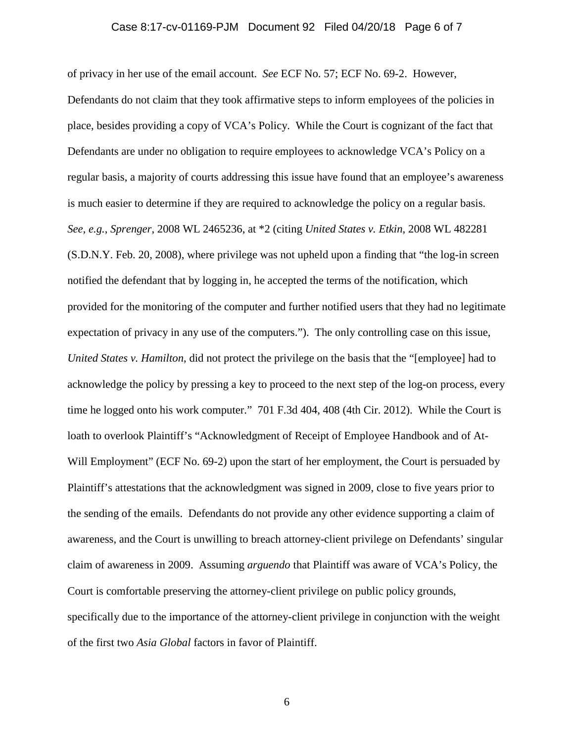## Case 8:17-cv-01169-PJM Document 92 Filed 04/20/18 Page 6 of 7

of privacy in her use of the email account. *See* ECF No. 57; ECF No. 69-2. However, Defendants do not claim that they took affirmative steps to inform employees of the policies in place, besides providing a copy of VCA's Policy. While the Court is cognizant of the fact that Defendants are under no obligation to require employees to acknowledge VCA's Policy on a regular basis, a majority of courts addressing this issue have found that an employee's awareness is much easier to determine if they are required to acknowledge the policy on a regular basis. *See, e.g.*, *Sprenger*, 2008 WL 2465236, at \*2 (citing *United States v. Etkin*, 2008 WL 482281 (S.D.N.Y. Feb. 20, 2008), where privilege was not upheld upon a finding that "the log-in screen notified the defendant that by logging in, he accepted the terms of the notification, which provided for the monitoring of the computer and further notified users that they had no legitimate expectation of privacy in any use of the computers."). The only controlling case on this issue, *United States v. Hamilton*, did not protect the privilege on the basis that the "[employee] had to acknowledge the policy by pressing a key to proceed to the next step of the log-on process, every time he logged onto his work computer." 701 F.3d 404, 408 (4th Cir. 2012). While the Court is loath to overlook Plaintiff's "Acknowledgment of Receipt of Employee Handbook and of At-Will Employment" (ECF No. 69-2) upon the start of her employment, the Court is persuaded by Plaintiff's attestations that the acknowledgment was signed in 2009, close to five years prior to the sending of the emails. Defendants do not provide any other evidence supporting a claim of awareness, and the Court is unwilling to breach attorney-client privilege on Defendants' singular claim of awareness in 2009. Assuming *arguendo* that Plaintiff was aware of VCA's Policy, the Court is comfortable preserving the attorney-client privilege on public policy grounds, specifically due to the importance of the attorney-client privilege in conjunction with the weight of the first two *Asia Global* factors in favor of Plaintiff.

6